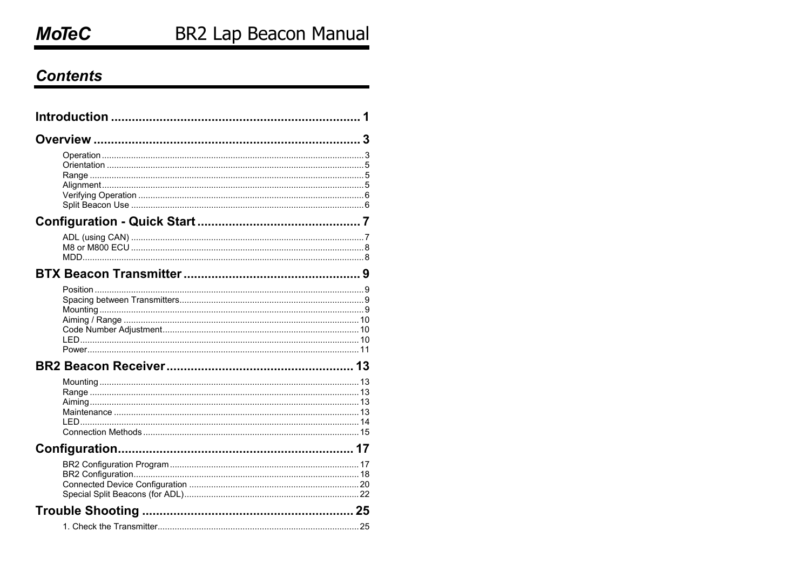## **Contents**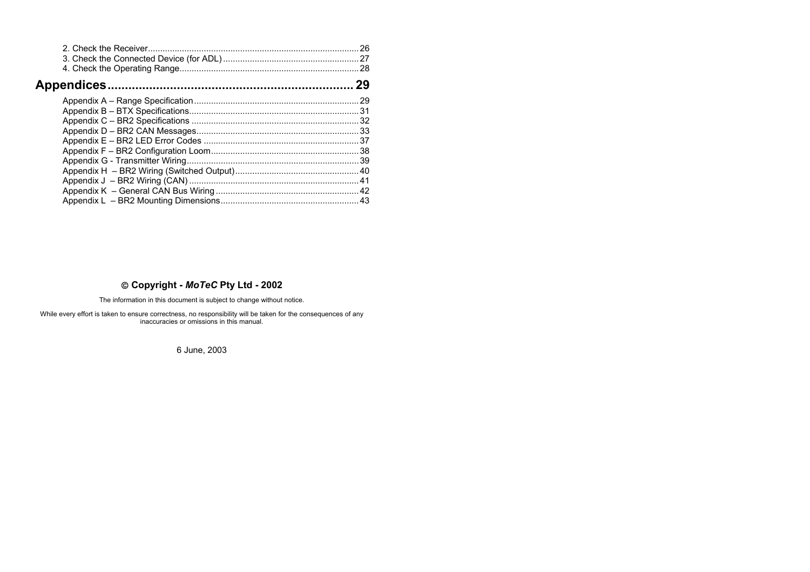| 29 |
|----|
|    |
|    |
|    |
|    |
|    |
|    |
|    |
|    |
|    |
|    |
|    |
|    |

#### **Copyright -** *MoTeC* **Pty Ltd - 2002**

The information in this document is subject to change without notice.

While every effort is taken to ensure correctness, no responsibility will be taken for the consequences of any inaccuracies or omissions in this manual.

6 June, 2003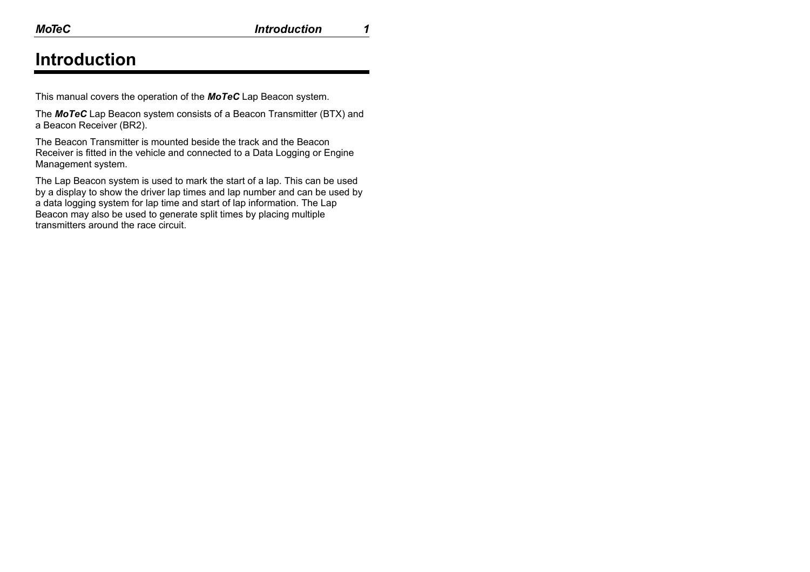## **Introduction**

This manual covers the operation of the *MoTeC* Lap Beacon system.

The *MoTeC* Lap Beacon system consists of a Beacon Transmitter (BTX) and a Beacon Receiver (BR2).

The Beacon Transmitter is mounted beside the track and the Beacon Receiver is fitted in the vehicle and connected to a Data Logging or Engine Management system.

The Lap Beacon system is used to mark the start of a lap. This can be used by a display to show the driver lap times and lap number and can be used by a data logging system for lap time and start of lap information. The Lap Beacon may also be used to generate split times by placing multiple transmitters around the race circuit.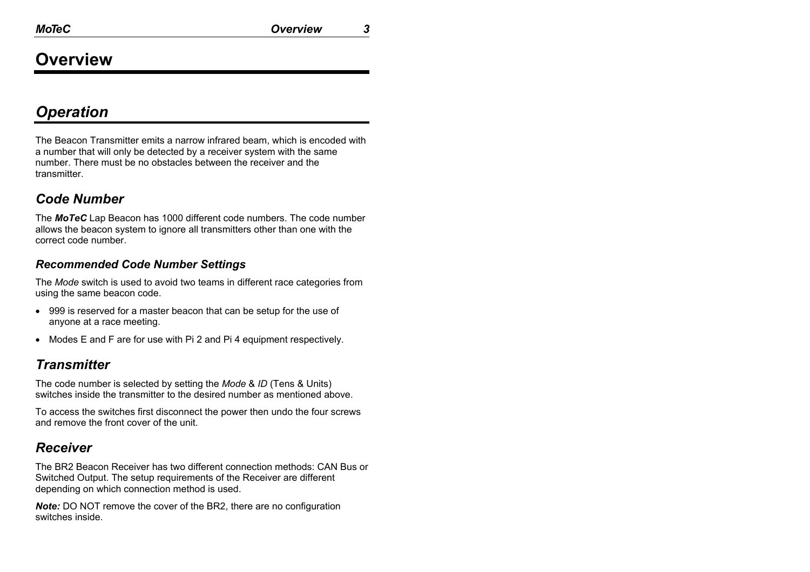## **Overview**

## *Operation*

The Beacon Transmitter emits a narrow infrared beam, which is encoded with a number that will only be detected by a receiver system with the same number. There must be no obstacles between the receiver and the transmitter.

### *Code Number*

The *MoTeC* Lap Beacon has 1000 different code numbers. The code number allows the beacon system to ignore all transmitters other than one with the correct code number.

### *Recommended Code Number Settings*

The *Mode* switch is used to avoid two teams in different race categories from using the same beacon code.

- 999 is reserved for a master beacon that can be setup for the use of anyone at a race meeting.
- Modes E and F are for use with Pi 2 and Pi 4 equipment respectively.

### *Transmitter*

The code number is selected by setting the *Mode* & *ID* (Tens & Units) switches inside the transmitter to the desired number as mentioned above.

To access the switches first disconnect the power then undo the four screws and remove the front cover of the unit.

### *Receiver*

The BR2 Beacon Receiver has two different connection methods: CAN Bus or Switched Output. The setup requirements of the Receiver are different depending on which connection method is used.

*Note:* DO NOT remove the cover of the BR2, there are no configuration switches inside.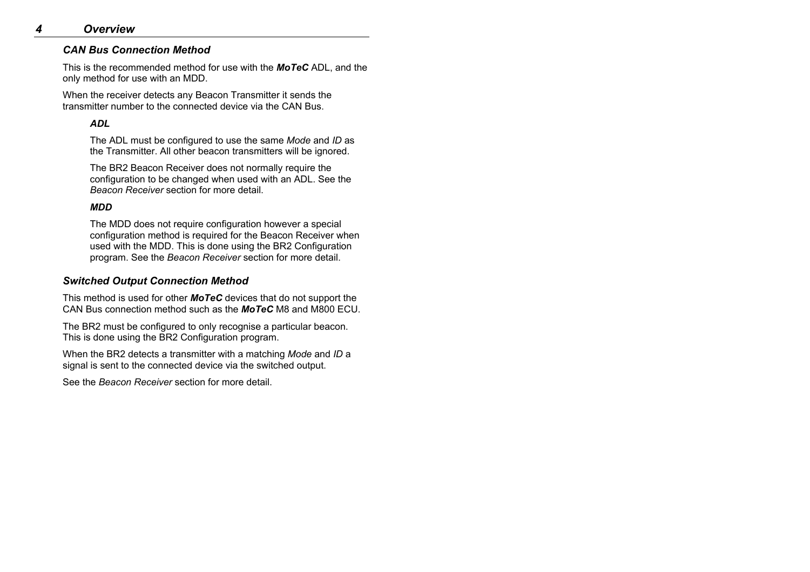#### *CAN Bus Connection Method*

This is the recommended method for use with the *MoTeC* ADL, and the only method for use with an MDD.

When the receiver detects any Beacon Transmitter it sends the transmitter number to the connected device via the CAN Bus.

#### *ADL*

The ADL must be configured to use the same *Mode* and *ID* as the Transmitter. All other beacon transmitters will be ignored.

The BR2 Beacon Receiver does not normally require the configuration to be changed when used with an ADL. See the *Beacon Receiver* section for more detail.

#### *MDD*

The MDD does not require configuration however a special configuration method is required for the Beacon Receiver when used with the MDD. This is done using the BR2 Configuration program. See the *Beacon Receiver* section for more detail.

#### *Switched Output Connection Method*

This method is used for other *MoTeC* devices that do not support the CAN Bus connection method such as the *MoTeC* M8 and M800 ECU.

The BR2 must be configured to only recognise a particular beacon. This is done using the BR2 Configuration program.

When the BR2 detects a transmitter with a matching *Mode* and *ID*<sup>a</sup> signal is sent to the connected device via the switched output.

See the *Beacon Receiver* section for more detail.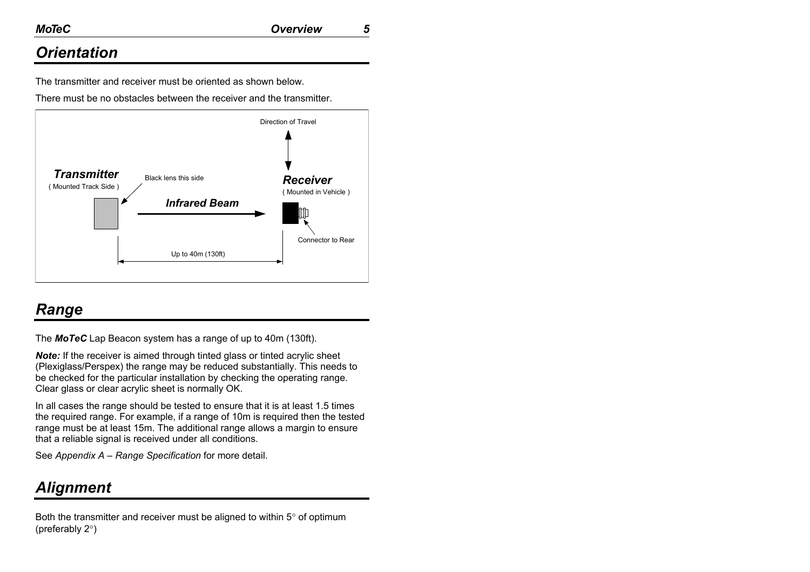## *Orientation*

The transmitter and receiver must be oriented as shown below.

There must be no obstacles between the receiver and the transmitter.



## *Range*

The *MoTeC* Lap Beacon system has a range of up to 40m (130ft).

*Note:* If the receiver is aimed through tinted glass or tinted acrylic sheet (Plexiglass/Perspex) the range may be reduced substantially. This needs to be checked for the particular installation by checking the operating range. Clear glass or clear acrylic sheet is normally OK.

In all cases the range should be tested to ensure that it is at least 1.5 times the required range. For example, if a range of 10m is required then the tested range must be at least 15m. The additional range allows a margin to ensure that a reliable signal is received under all conditions.

See *Appendix A – Range Specification* for more detail.

## *Alignment*

Both the transmitter and receiver must be aligned to within 5° of optimum (preferably 2°)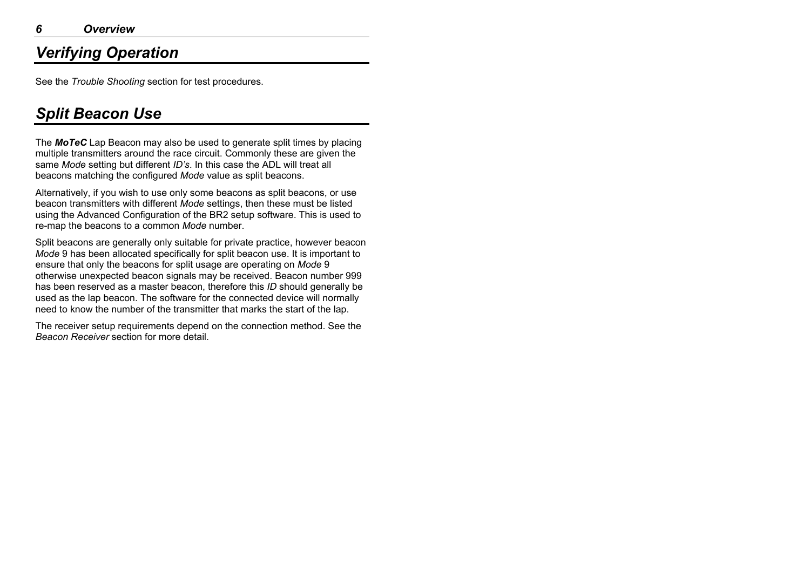## *Verifying Operation*

See the *Trouble Shooting* section for test procedures.

## *Split Beacon Use*

The *MoTeC* Lap Beacon may also be used to generate split times by placing multiple transmitters around the race circuit. Commonly these are given the same *Mode* setting but different *ID's*. In this case the ADL will treat all beacons matching the configured *Mode* value as split beacons.

Alternatively, if you wish to use only some beacons as split beacons, or use beacon transmitters with different *Mode* settings, then these must be listed using the Advanced Configuration of the BR2 setup software. This is used to re-map the beacons to a common *Mode* number.

Split beacons are generally only suitable for private practice, however beacon *Mode* 9 has been allocated specifically for split beacon use. It is important to ensure that only the beacons for split usage are operating on *Mode* 9 otherwise unexpected beacon signals may be received. Beacon number 999 has been reserved as a master beacon, therefore this *ID* should generally be used as the lap beacon. The software for the connected device will normally need to know the number of the transmitter that marks the start of the lap.

The receiver setup requirements depend on the connection method. See the *Beacon Receiver* section for more detail.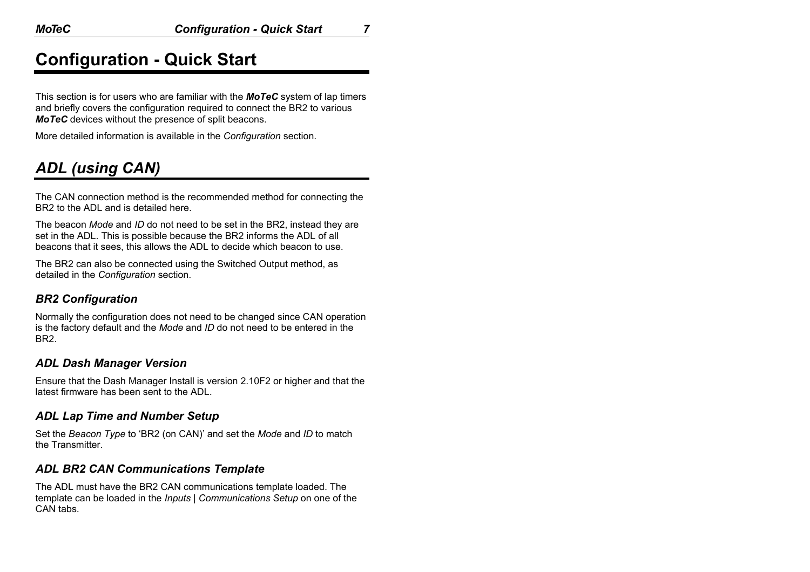## **Configuration - Quick Start**

This section is for users who are familiar with the *MoTeC* system of lap timers and briefly covers the configuration required to connect the BR2 to various *MoTeC* devices without the presence of split beacons.

More detailed information is available in the *Configuration* section.

## *ADL (using CAN)*

The CAN connection method is the recommended method for connecting the BR2 to the ADL and is detailed here.

The beacon *Mode* and *ID* do not need to be set in the BR2, instead they are set in the ADL. This is possible because the BR2 informs the ADL of all beacons that it sees, this allows the ADL to decide which beacon to use.

The BR2 can also be connected using the Switched Output method, as detailed in the *Configuration* section.

### *BR2 Configuration*

Normally the configuration does not need to be changed since CAN operation is the factory default and the *Mode* and *ID* do not need to be entered in the BR2.

### *ADL Dash Manager Version*

Ensure that the Dash Manager Install is version 2.10F2 or higher and that the latest firmware has been sent to the ADL.

### *ADL Lap Time and Number Setup*

Set the *Beacon Type* to 'BR2 (on CAN)' and set the *Mode* and *ID* to match the Transmitter.

### *ADL BR2 CAN Communications Template*

The ADL must have the BR2 CAN communications template loaded. The template can be loaded in the *Inputs | Communications Setup* on one of the CAN tabs.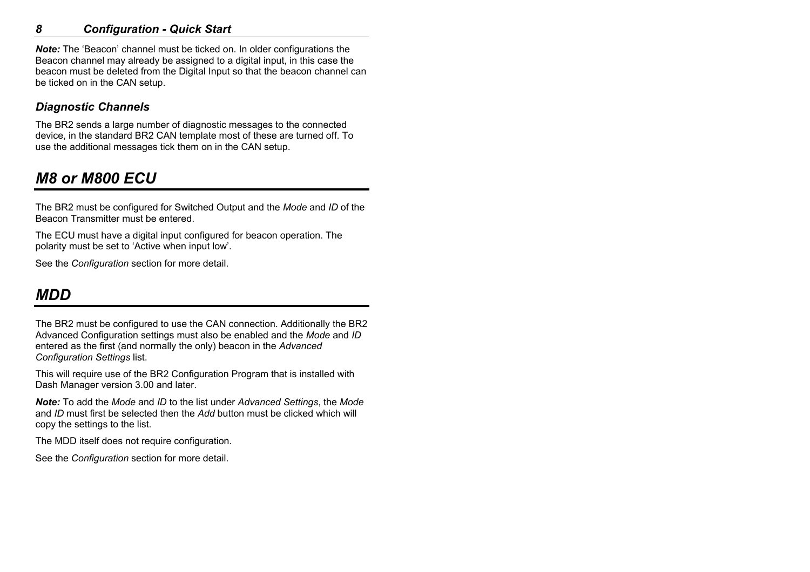### *8 Configuration - Quick Start*

*Note:* The 'Beacon' channel must be ticked on. In older configurations the Beacon channel may already be assigned to a digital input, in this case the beacon must be deleted from the Digital Input so that the beacon channel can be ticked on in the CAN setup.

### *Diagnostic Channels*

The BR2 sends a large number of diagnostic messages to the connected device, in the standard BR2 CAN template most of these are turned off. To use the additional messages tick them on in the CAN setup.

## *M8 or M800 ECU*

The BR2 must be configured for Switched Output and the *Mode* and *ID* of the Beacon Transmitter must be entered.

The ECU must have a digital input configured for beacon operation. The polarity must be set to 'Active when input low'.

See the *Configuration* section for more detail.

## *MDD*

The BR2 must be configured to use the CAN connection. Additionally the BR2 Advanced Configuration settings must also be enabled and the *Mode* and *ID* entered as the first (and normally the only) beacon in the *Advanced Configuration Settings* list.

This will require use of the BR2 Configuration Program that is installed with Dash Manager version 3.00 and later.

*Note:* To add the *Mode* and *ID* to the list under *Advanced Settings*, the *Mode* and *ID* must first be selected then the *Add* button must be clicked which will copy the settings to the list.

The MDD itself does not require configuration.

See the *Configuration* section for more detail.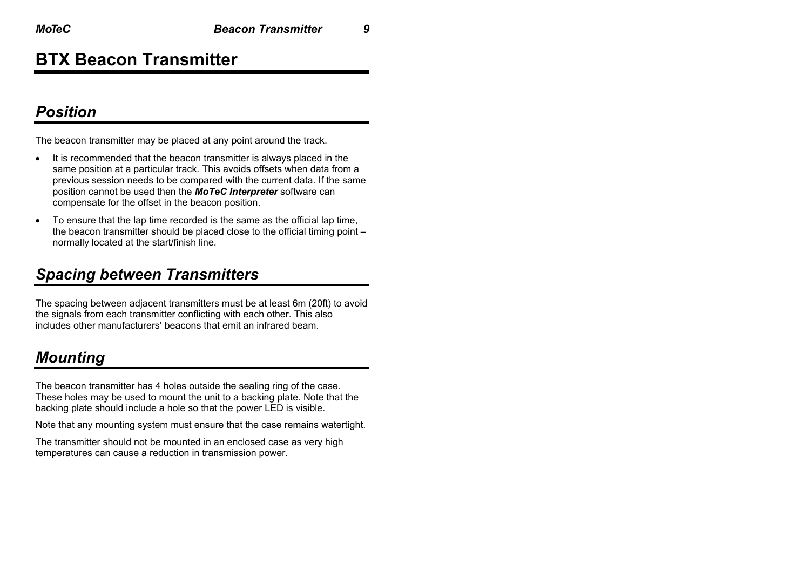## **BTX Beacon Transmitter**

### *Position*

The beacon transmitter may be placed at any point around the track.

- It is recommended that the beacon transmitter is always placed in the same position at a particular track. This avoids offsets when data from a previous session needs to be compared with the current data. If the same position cannot be used then the *MoTeC Interpreter* software can compensate for the offset in the beacon position.
- To ensure that the lap time recorded is the same as the official lap time, the beacon transmitter should be placed close to the official timing point – normally located at the start/finish line.

## *Spacing between Transmitters*

The spacing between adjacent transmitters must be at least 6m (20ft) to avoid the signals from each transmitter conflicting with each other. This also includes other manufacturers' beacons that emit an infrared beam.

## *Mounting*

The beacon transmitter has 4 holes outside the sealing ring of the case. These holes may be used to mount the unit to a backing plate. Note that the backing plate should include a hole so that the power LED is visible.

Note that any mounting system must ensure that the case remains watertight.

The transmitter should not be mounted in an enclosed case as very high temperatures can cause a reduction in transmission power.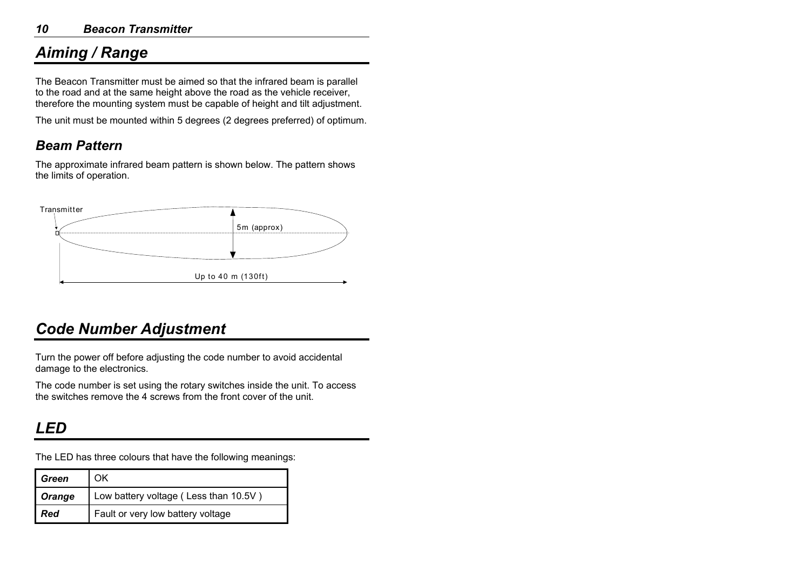## *Aiming / Range*

The Beacon Transmitter must be aimed so that the infrared beam is parallel to the road and at the same height above the road as the vehicle receiver, therefore the mounting system must be capable of height and tilt adjustment.

The unit must be mounted within 5 degrees (2 degrees preferred) of optimum.

### *Beam Pattern*

The approximate infrared beam pattern is shown below. The pattern shows the limits of operation.



## *Code Number Adjustment*

Turn the power off before adjusting the code number to avoid accidental damage to the electronics.

The code number is set using the rotary switches inside the unit. To access the switches remove the 4 screws from the front cover of the unit.

## *LED*

The LED has three colours that have the following meanings:

| <b>Green</b> | OΚ                                    |
|--------------|---------------------------------------|
| Orange       | Low battery voltage (Less than 10.5V) |
| I Red        | Fault or very low battery voltage     |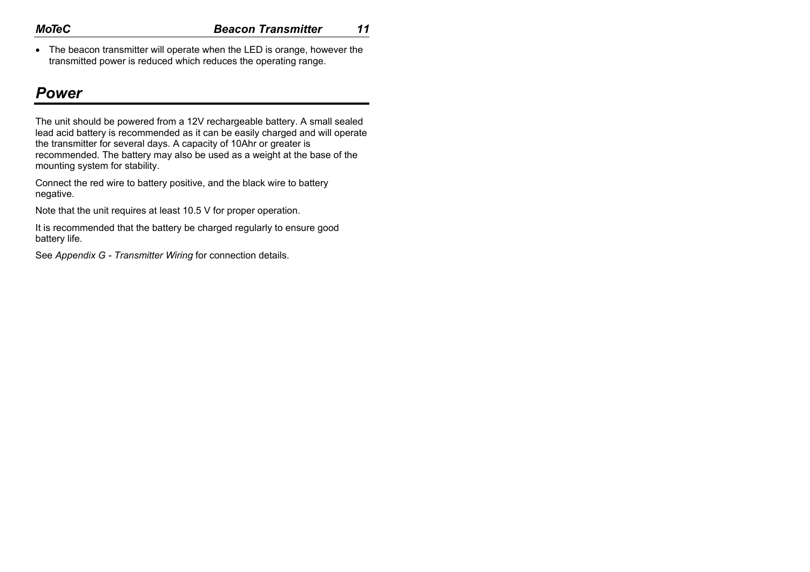• The beacon transmitter will operate when the LED is orange, however the transmitted power is reduced which reduces the operating range.

### *Power*

The unit should be powered from a 12V rechargeable battery. A small sealed lead acid battery is recommended as it can be easily charged and will operate the transmitter for several days. A capacity of 10Ahr or greater is recommended. The battery may also be used as a weight at the base of the mounting system for stability.

Connect the red wire to battery positive, and the black wire to battery negative.

Note that the unit requires at least 10.5 V for proper operation.

It is recommended that the battery be charged regularly to ensure good battery life.

See *Appendix G - Transmitter Wiring* for connection details.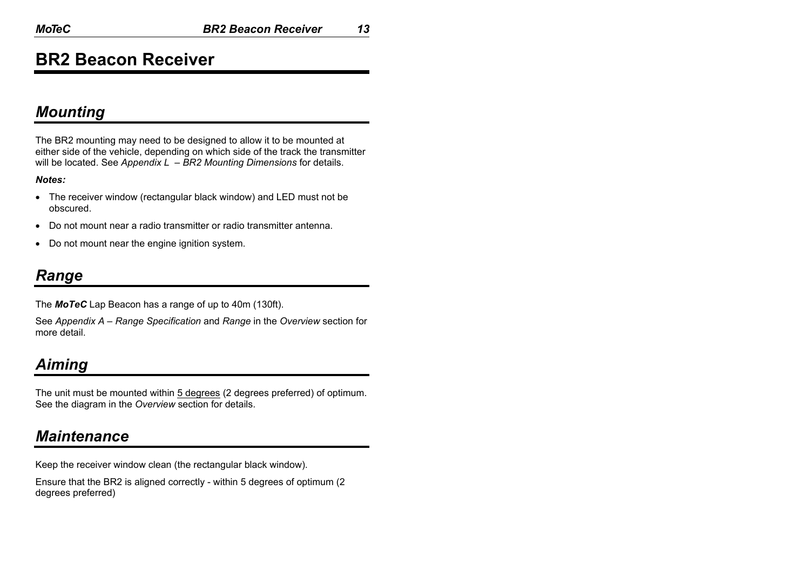## **BR2 Beacon Receiver**

### *Mounting*

The BR2 mounting may need to be designed to allow it to be mounted at either side of the vehicle, depending on which side of the track the transmitter will be located. See *Appendix L – BR2 Mounting Dimensions* for details.

#### *Notes:*

- The receiver window (rectangular black window) and LED must not be obscured.
- Do not mount near a radio transmitter or radio transmitter antenna.
- Do not mount near the engine ignition system.

### *Range*

The *MoTeC* Lap Beacon has a range of up to 40m (130ft).

See *Appendix A – Range Specification* and *Range* in the *Overview* section for more detail.

## *Aiming*

The unit must be mounted within 5 degrees (2 degrees preferred) of optimum. See the diagram in the *Overview* section for details.

### *Maintenance*

Keep the receiver window clean (the rectangular black window).

Ensure that the BR2 is aligned correctly - within 5 degrees of optimum (2 degrees preferred)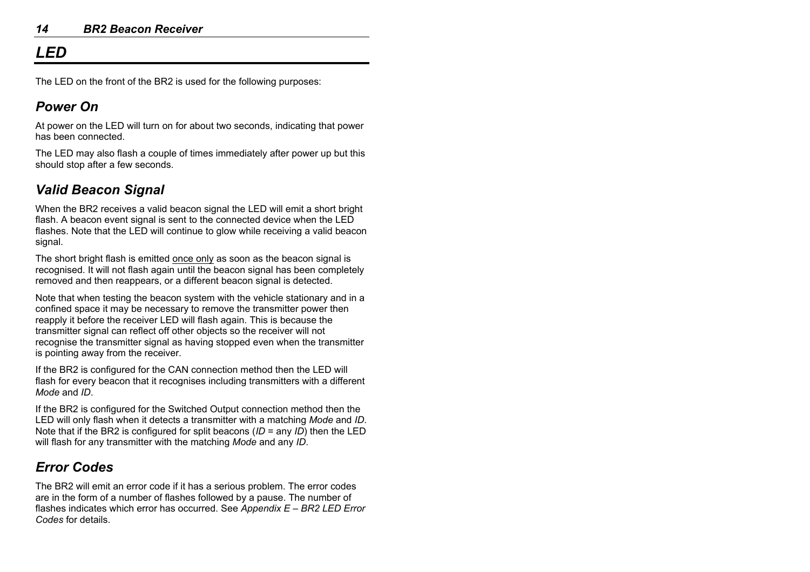## *LED*

The LED on the front of the BR2 is used for the following purposes:

### *Power On*

At power on the LED will turn on for about two seconds, indicating that power has been connected.

The LED may also flash a couple of times immediately after power up but this should stop after a few seconds.

## *Valid Beacon Signal*

When the BR2 receives a valid beacon signal the LED will emit a short bright flash. A beacon event signal is sent to the connected device when the LED flashes. Note that the LED will continue to glow while receiving a valid beacon signal.

The short bright flash is emitted once only as soon as the beacon signal is recognised. It will not flash again until the beacon signal has been completely removed and then reappears, or a different beacon signal is detected.

Note that when testing the beacon system with the vehicle stationary and in a confined space it may be necessary to remove the transmitter power then reapply it before the receiver LED will flash again. This is because the transmitter signal can reflect off other objects so the receiver will not recognise the transmitter signal as having stopped even when the transmitter is pointing away from the receiver.

If the BR2 is configured for the CAN connection method then the LED will flash for every beacon that it recognises including transmitters with a different *Mode* and *ID*.

If the BR2 is configured for the Switched Output connection method then the LED will only flash when it detects a transmitter with a matching *Mode* and *ID*. Note that if the BR2 is configured for split beacons (*ID* = any *ID*) then the LED will flash for any transmitter with the matching *Mode* and any *ID*.

## *Error Codes*

The BR2 will emit an error code if it has a serious problem. The error codes are in the form of a number of flashes followed by a pause. The number of flashes indicates which error has occurred. See *Appendix E – BR2 LED Error Codes* for details.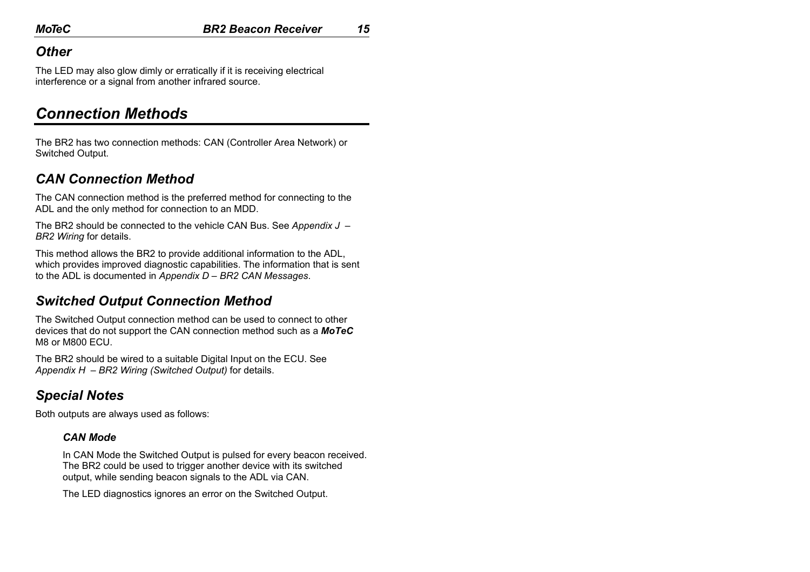### *Other*

The LED may also glow dimly or erratically if it is receiving electrical interference or a signal from another infrared source.

### *Connection Methods*

The BR2 has two connection methods: CAN (Controller Area Network) or Switched Output.

### *CAN Connection Method*

The CAN connection method is the preferred method for connecting to the ADL and the only method for connection to an MDD.

The BR2 should be connected to the vehicle CAN Bus. See *Appendix J – BR2 Wiring* for details.

This method allows the BR2 to provide additional information to the ADL, which provides improved diagnostic capabilities. The information that is sent to the ADL is documented in *Appendix D – BR2 CAN Messages*.

### *Switched Output Connection Method*

The Switched Output connection method can be used to connect to other devices that do not support the CAN connection method such as a *MoTeC*  M8 or M800 ECU.

The BR2 should be wired to a suitable Digital Input on the ECU. See *Appendix H – BR2 Wiring (Switched Output)* for details.

### *Special Notes*

Both outputs are always used as follows:

#### *CAN Mode*

In CAN Mode the Switched Output is pulsed for every beacon received. The BR2 could be used to trigger another device with its switched output, while sending beacon signals to the ADL via CAN.

The LED diagnostics ignores an error on the Switched Output.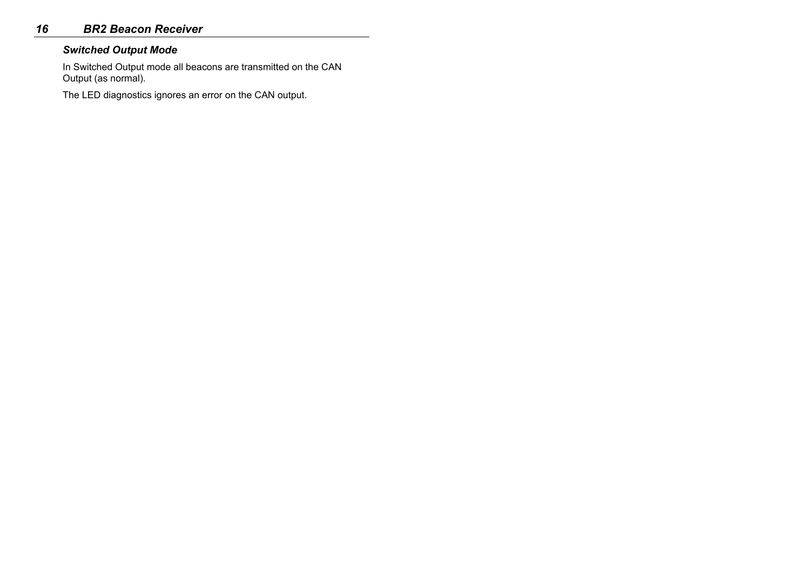### *16 BR2 Beacon Receiver*

#### *Switched Output Mode*

In Switched Output mode all beacons are transmitted on the CAN Output (as normal).

The LED diagnostics ignores an error on the CAN output.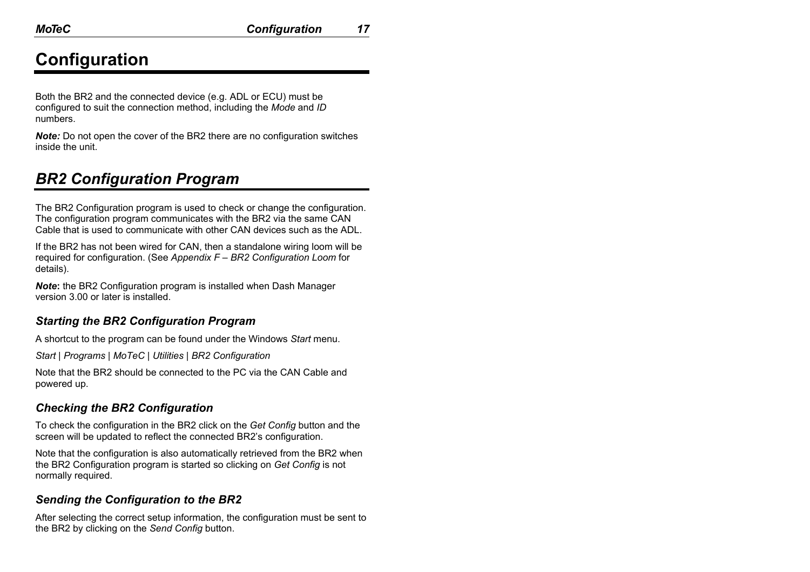# **Configuration**

Both the BR2 and the connected device (e.g. ADL or ECU) must be configured to suit the connection method, including the *Mode* and *ID* numbers.

*Note:* Do not open the cover of the BR2 there are no configuration switches inside the unit.

## *BR2 Configuration Program*

The BR2 Configuration program is used to check or change the configuration. The configuration program communicates with the BR2 via the same CAN Cable that is used to communicate with other CAN devices such as the ADL.

If the BR2 has not been wired for CAN, then a standalone wiring loom will be required for configuration. (See *Appendix F – BR2 Configuration Loom* for details).

*Note***:** the BR2 Configuration program is installed when Dash Manager version 3.00 or later is installed.

### *Starting the BR2 Configuration Program*

A shortcut to the program can be found under the Windows *Start* menu.

*Start | Programs | MoTeC | Utilities | BR2 Configuration* 

Note that the BR2 should be connected to the PC via the CAN Cable and powered up.

### *Checking the BR2 Configuration*

To check the configuration in the BR2 click on the *Get Config* button and the screen will be updated to reflect the connected BR2's configuration.

Note that the configuration is also automatically retrieved from the BR2 when the BR2 Configuration program is started so clicking on *Get Config* is not normally required.

### *Sending the Configuration to the BR2*

After selecting the correct setup information, the configuration must be sent to the BR2 by clicking on the *Send Config* button.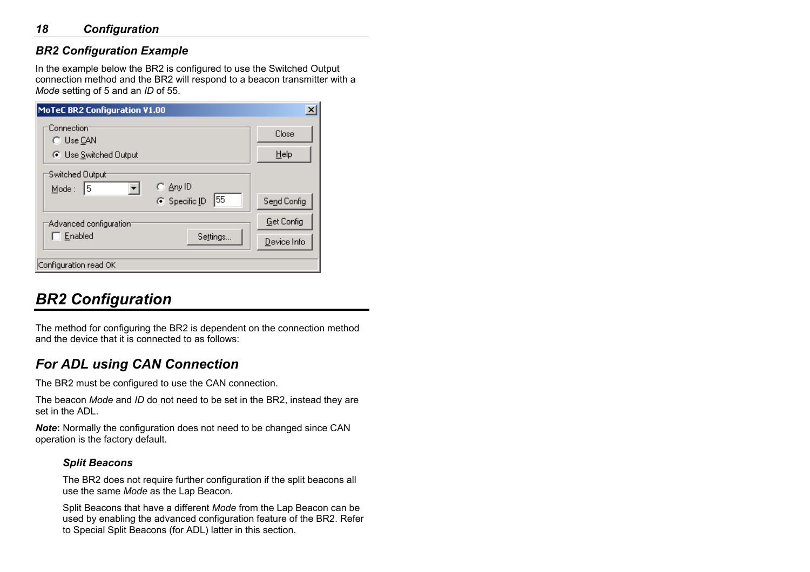### *18 Configuration*

### *BR2 Configuration Example*

In the example below the BR2 is configured to use the Switched Output connection method and the BR2 will respond to a beacon transmitter with a *Mode* setting of 5 and an *ID* of 55.

| <b>MoTeC BR2 Configuration V1.00</b>                               | $\times$                         |
|--------------------------------------------------------------------|----------------------------------|
| Connection<br>C Use CAN<br>C Use Switched Output                   | Close<br>$He$ lp                 |
| Switched Output<br>⊙ Any ID<br>15<br>Mode:<br>155<br>C Specific ID | Send Config                      |
| Advanced configuration:<br>Enabled<br>Settings                     | <b>Get Config</b><br>Device Info |
| Configuration read OK                                              |                                  |

## *BR2 Configuration*

The method for configuring the BR2 is dependent on the connection method and the device that it is connected to as follows:

### *For ADL using CAN Connection*

The BR2 must be configured to use the CAN connection.

The beacon *Mode* and *ID* do not need to be set in the BR2, instead they are set in the ADL.

*Note***:** Normally the configuration does not need to be changed since CAN operation is the factory default.

#### *Split Beacons*

The BR2 does not require further configuration if the split beacons all use the same *Mode* as the Lap Beacon.

Split Beacons that have a different *Mode* from the Lap Beacon can be used by enabling the advanced configuration feature of the BR2. Refer to Special Split Beacons (for ADL) latter in this section.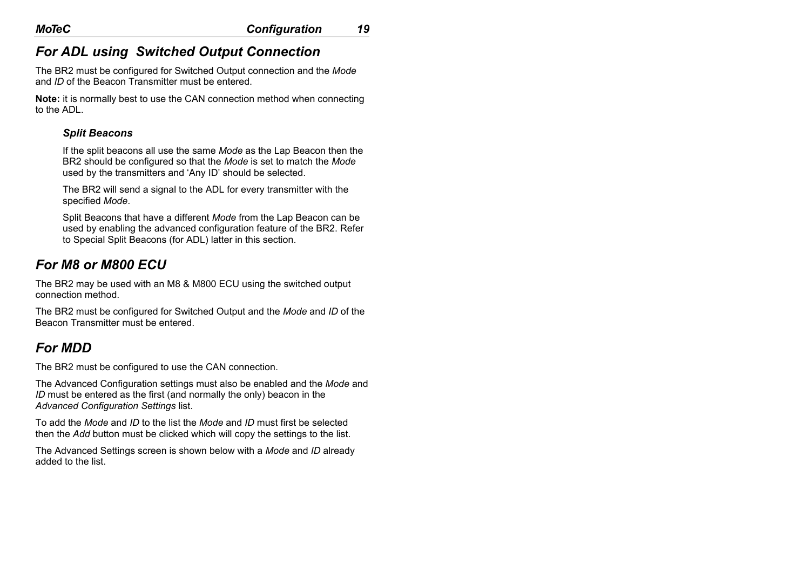### *For ADL using Switched Output Connection*

The BR2 must be configured for Switched Output connection and the *Mode* and *ID* of the Beacon Transmitter must be entered.

**Note:** it is normally best to use the CAN connection method when connecting to the ADL.

#### *Split Beacons*

If the split beacons all use the same *Mode* as the Lap Beacon then the BR2 should be configured so that the *Mode* is set to match the *Mode* used by the transmitters and 'Any ID' should be selected.

The BR2 will send a signal to the ADL for every transmitter with the specified *Mode*.

Split Beacons that have a different *Mode* from the Lap Beacon can be used by enabling the advanced configuration feature of the BR2. Refer to Special Split Beacons (for ADL) latter in this section.

### *For M8 or M800 ECU*

The BR2 may be used with an M8 & M800 ECU using the switched output connection method.

The BR2 must be configured for Switched Output and the *Mode* and *ID* of the Beacon Transmitter must be entered.

### *For MDD*

The BR2 must be configured to use the CAN connection.

The Advanced Configuration settings must also be enabled and the *Mode* and *ID* must be entered as the first (and normally the only) beacon in the *Advanced Configuration Settings* list.

To add the *Mode* and *ID* to the list the *Mode* and *ID* must first be selected then the *Add* button must be clicked which will copy the settings to the list.

The Advanced Settings screen is shown below with a *Mode* and *ID* already added to the list.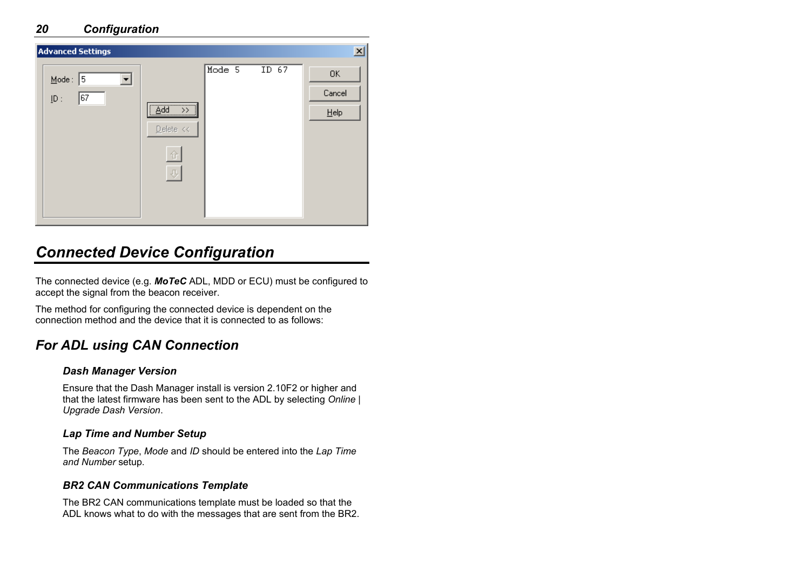| <b>Advanced Settings</b>                      |                                                                                                                    |        |                  | 즤                       |
|-----------------------------------------------|--------------------------------------------------------------------------------------------------------------------|--------|------------------|-------------------------|
| $Mode : 5$<br>67<br>$\underline{\text{ID}}$ : | $\begin{tabular}{ c c c c } \hline \hline \hline \hline Add & \rightarrow\, & \\\hline \end{tabular}$<br>Delete << | Mode 5 | ID <sub>67</sub> | 0K<br>Cancel<br>$He$ lp |

## *Connected Device Configuration*

The connected device (e.g. *MoTeC* ADL, MDD or ECU) must be configured to accept the signal from the beacon receiver.

The method for configuring the connected device is dependent on the connection method and the device that it is connected to as follows:

### *For ADL using CAN Connection*

#### *Dash Manager Version*

Ensure that the Dash Manager install is version 2.10F2 or higher and that the latest firmware has been sent to the ADL by selecting *Online | Upgrade Dash Version*.

#### *Lap Time and Number Setup*

The *Beacon Type*, *Mode* and *ID* should be entered into the *Lap Time and Number* setup.

#### *BR2 CAN Communications Template*

The BR2 CAN communications template must be loaded so that the ADL knows what to do with the messages that are sent from the BR2.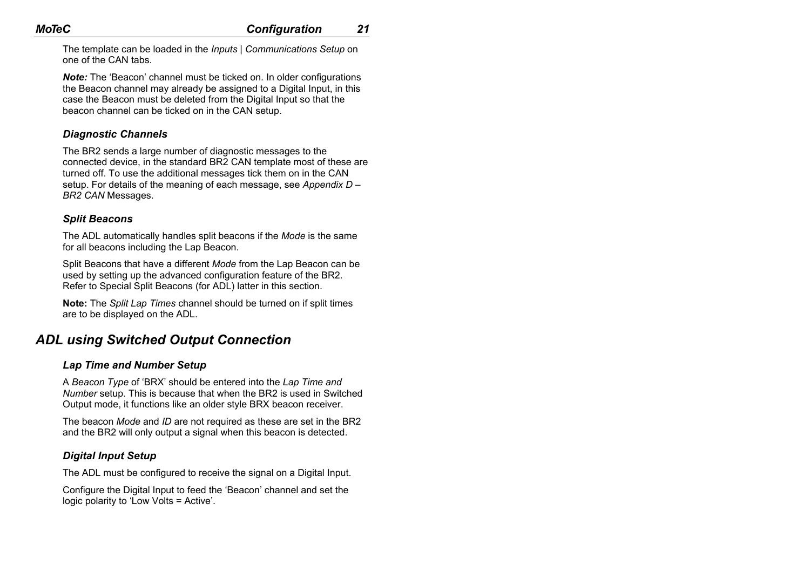The template can be loaded in the *Inputs | Communications Setup* on one of the CAN tabs.

*Note:* The 'Beacon' channel must be ticked on. In older configurations the Beacon channel may already be assigned to a Digital Input, in this case the Beacon must be deleted from the Digital Input so that the beacon channel can be ticked on in the CAN setup.

#### *Diagnostic Channels*

The BR2 sends a large number of diagnostic messages to the connected device, in the standard BR2 CAN template most of these are turned off. To use the additional messages tick them on in the CAN setup. For details of the meaning of each message, see *Appendix D – BR2 CAN* Messages.

#### *Split Beacons*

The ADL automatically handles split beacons if the *Mode* is the same for all beacons including the Lap Beacon.

Split Beacons that have a different *Mode* from the Lap Beacon can be used by setting up the advanced configuration feature of the BR2. Refer to Special Split Beacons (for ADL) latter in this section.

**Note:** The *Split Lap Times* channel should be turned on if split times are to be displayed on the ADL.

### *ADL using Switched Output Connection*

#### *Lap Time and Number Setup*

A *Beacon Type* of 'BRX' should be entered into the *Lap Time and Number* setup. This is because that when the BR2 is used in Switched Output mode, it functions like an older style BRX beacon receiver.

The beacon *Mode* and *ID* are not required as these are set in the BR2 and the BR2 will only output a signal when this beacon is detected.

#### *Digital Input Setup*

The ADL must be configured to receive the signal on a Digital Input.

Configure the Digital Input to feed the 'Beacon' channel and set the logic polarity to 'Low Volts = Active'.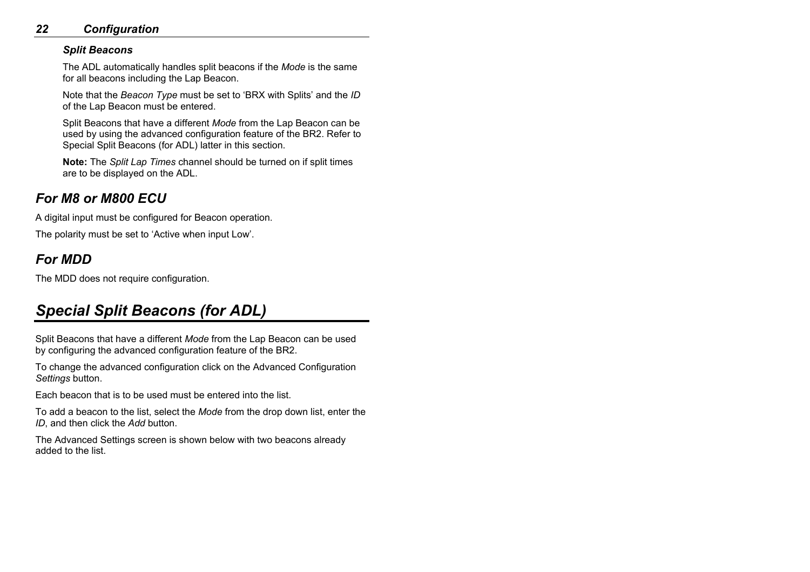### *22 Configuration*

#### *Split Beacons*

The ADL automatically handles split beacons if the *Mode* is the same for all beacons including the Lap Beacon.

Note that the *Beacon Type* must be set to 'BRX with Splits' and the *ID* of the Lap Beacon must be entered.

Split Beacons that have a different *Mode* from the Lap Beacon can be used by using the advanced configuration feature of the BR2. Refer to Special Split Beacons (for ADL) latter in this section.

**Note:** The *Split Lap Times* channel should be turned on if split times are to be displayed on the ADL.

### *For M8 or M800 ECU*

A digital input must be configured for Beacon operation.

The polarity must be set to 'Active when input Low'.

### *For MDD*

The MDD does not require configuration.

## *Special Split Beacons (for ADL)*

Split Beacons that have a different *Mode* from the Lap Beacon can be used by configuring the advanced configuration feature of the BR2.

To change the advanced configuration click on the Advanced Configuration *Settings* button.

Each beacon that is to be used must be entered into the list.

To add a beacon to the list, select the *Mode* from the drop down list, enter the *ID*, and then click the *Add* button.

The Advanced Settings screen is shown below with two beacons already added to the list.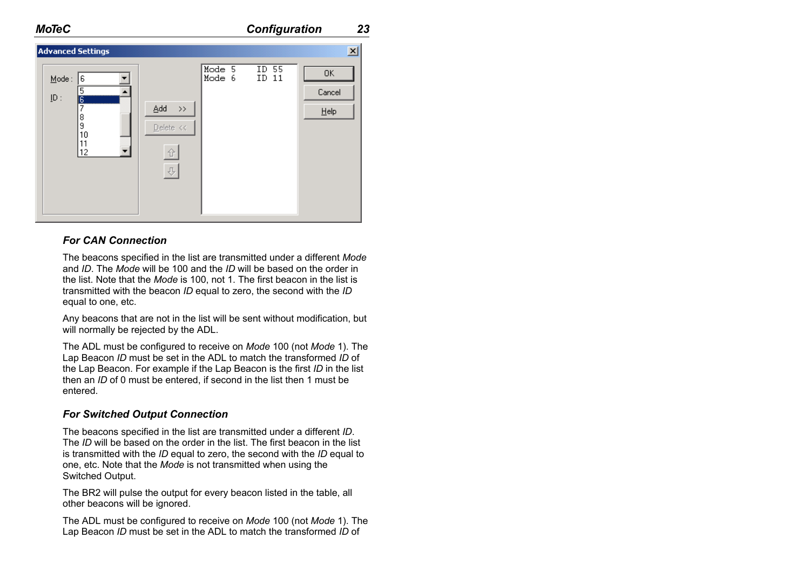| <b>Advanced Settings</b>                                                      |                                                             |                  |                | $\vert x \vert$         |
|-------------------------------------------------------------------------------|-------------------------------------------------------------|------------------|----------------|-------------------------|
| Mode:<br>6<br>5<br>$\underline{\text{ID}}$ :<br>ķ<br>8<br>9<br>10<br>11<br>12 | Add<br>$\rightarrow$<br>Delete <<<br>û<br>$\overline{\psi}$ | Mode 5<br>Mode 6 | ID 55<br>ID 11 | OK<br>Cancel<br>$He$ lp |

#### *For CAN Connection*

The beacons specified in the list are transmitted under a different *Mode* and *ID*. The *Mode* will be 100 and the *ID* will be based on the order in the list. Note that the *Mode* is 100, not 1. The first beacon in the list is transmitted with the beacon *ID* equal to zero, the second with the *ID* equal to one, etc.

Any beacons that are not in the list will be sent without modification, but will normally be rejected by the ADL.

The ADL must be configured to receive on *Mode* 100 (not *Mode* 1). The Lap Beacon *ID* must be set in the ADL to match the transformed *ID* of the Lap Beacon. For example if the Lap Beacon is the first *ID* in the list then an *ID* of 0 must be entered, if second in the list then 1 must be entered.

#### *For Switched Output Connection*

The beacons specified in the list are transmitted under a different *ID*. The *ID* will be based on the order in the list. The first beacon in the list is transmitted with the *ID* equal to zero, the second with the *ID* equal to one, etc. Note that the *Mode* is not transmitted when using the Switched Output.

The BR2 will pulse the output for every beacon listed in the table, all other beacons will be ignored.

The ADL must be configured to receive on *Mode* 100 (not *Mode* 1). The Lap Beacon *ID* must be set in the ADL to match the transformed *ID* of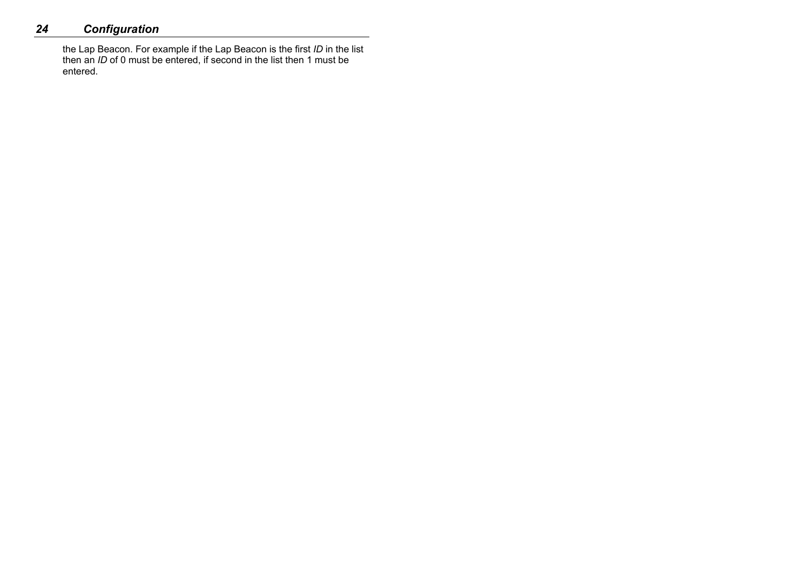### *24 Configuration*

the Lap Beacon. For example if the Lap Beacon is the first *ID* in the list then an *ID* of 0 must be entered, if second in the list then 1 must be entered.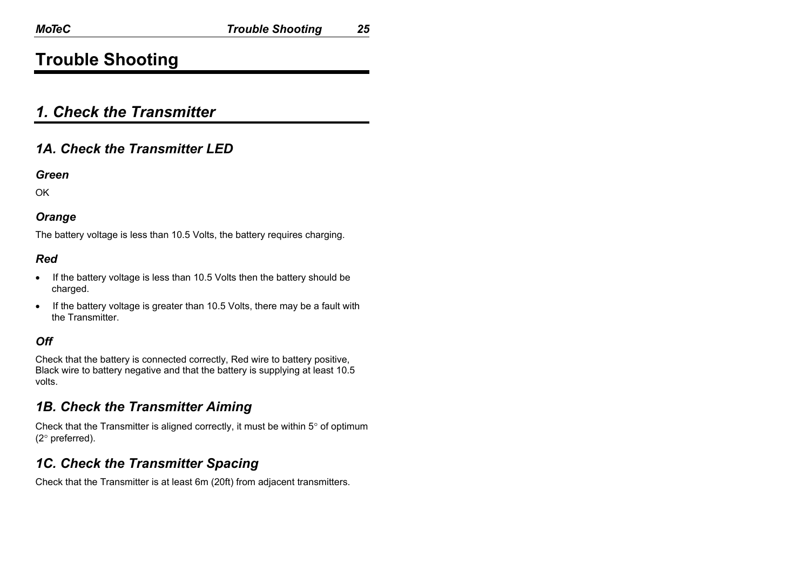## **Trouble Shooting**

### *1. Check the Transmitter*

### *1A. Check the Transmitter LED*

#### *Green*

**OK** 

#### *Orange*

The battery voltage is less than 10.5 Volts, the battery requires charging.

### *Red*

- If the battery voltage is less than 10.5 Volts then the battery should be charged.
- If the battery voltage is greater than 10.5 Volts, there may be a fault with the Transmitter.

### *Off*

Check that the battery is connected correctly, Red wire to battery positive, Black wire to battery negative and that the battery is supplying at least 10.5 volts.

### *1B. Check the Transmitter Aiming*

Check that the Transmitter is aligned correctly, it must be within  $5^\circ$  of optimum (2° preferred).

### *1C. Check the Transmitter Spacing*

Check that the Transmitter is at least 6m (20ft) from adjacent transmitters.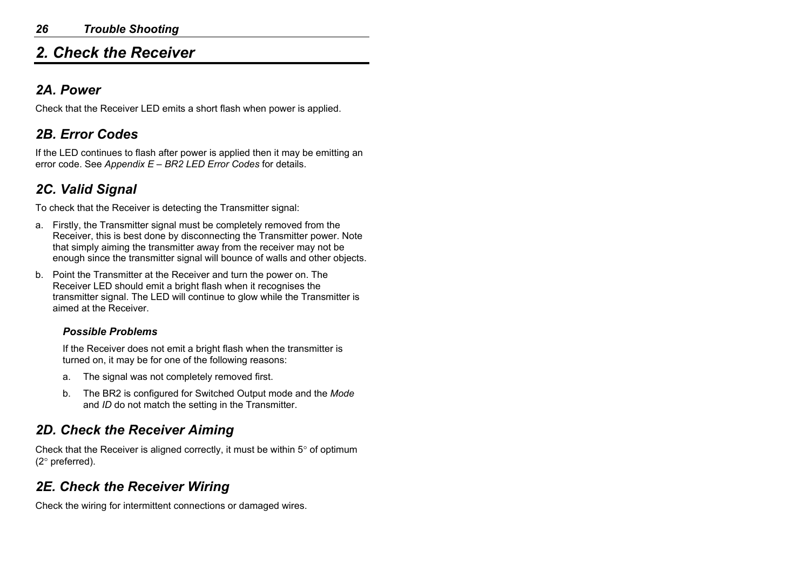## *2. Check the Receiver*

### *2A. Power*

Check that the Receiver LED emits a short flash when power is applied.

### *2B. Error Codes*

If the LED continues to flash after power is applied then it may be emitting an error code. See *Appendix E – BR2 LED Error Codes* for details.

### *2C. Valid Signal*

To check that the Receiver is detecting the Transmitter signal:

- a. Firstly, the Transmitter signal must be completely removed from the Receiver, this is best done by disconnecting the Transmitter power. Note that simply aiming the transmitter away from the receiver may not be enough since the transmitter signal will bounce of walls and other objects.
- b. Point the Transmitter at the Receiver and turn the power on. The Receiver LED should emit a bright flash when it recognises the transmitter signal. The LED will continue to glow while the Transmitter is aimed at the Receiver.

#### *Possible Problems*

If the Receiver does not emit a bright flash when the transmitter is turned on, it may be for one of the following reasons:

- a. The signal was not completely removed first.
- b. The BR2 is configured for Switched Output mode and the *Mode* and *ID* do not match the setting in the Transmitter.

### *2D. Check the Receiver Aiming*

Check that the Receiver is aligned correctly, it must be within 5° of optimum (2° preferred).

### *2E. Check the Receiver Wiring*

Check the wiring for intermittent connections or damaged wires.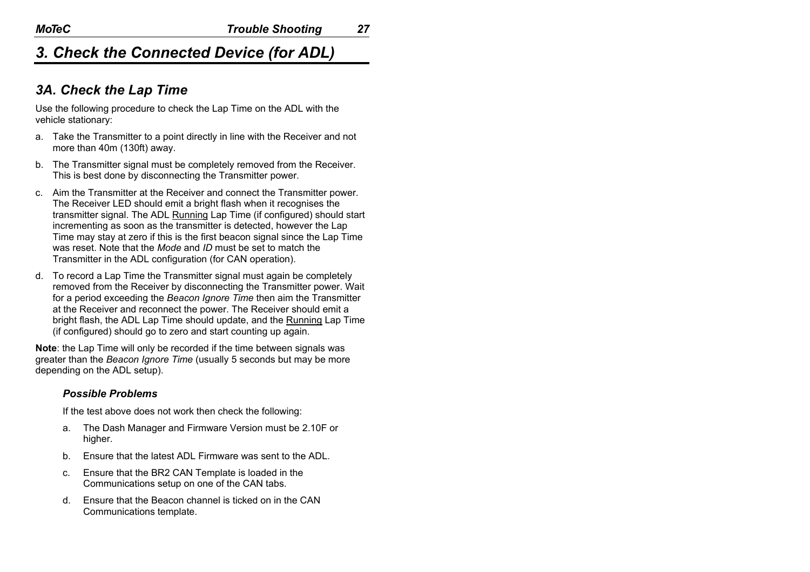### *3A. Check the Lap Time*

Use the following procedure to check the Lap Time on the ADL with the vehicle stationary:

- a. Take the Transmitter to a point directly in line with the Receiver and not more than 40m (130ft) away.
- b. The Transmitter signal must be completely removed from the Receiver. This is best done by disconnecting the Transmitter power.
- c. Aim the Transmitter at the Receiver and connect the Transmitter power. The Receiver LED should emit a bright flash when it recognises the transmitter signal. The ADL Running Lap Time (if configured) should start incrementing as soon as the transmitter is detected, however the Lap Time may stay at zero if this is the first beacon signal since the Lap Time was reset. Note that the *Mode* and *ID* must be set to match the Transmitter in the ADL configuration (for CAN operation).
- d. To record a Lap Time the Transmitter signal must again be completely removed from the Receiver by disconnecting the Transmitter power. Wait for a period exceeding the *Beacon Ignore Time* then aim the Transmitter at the Receiver and reconnect the power. The Receiver should emit a bright flash, the ADL Lap Time should update, and the Running Lap Time (if configured) should go to zero and start counting up again.

**Note**: the Lap Time will only be recorded if the time between signals was greater than the *Beacon Ignore Time* (usually 5 seconds but may be more depending on the ADL setup).

#### *Possible Problems*

If the test above does not work then check the following:

- a. The Dash Manager and Firmware Version must be 2.10F or higher.
- b. Ensure that the latest ADL Firmware was sent to the ADL.
- c. Ensure that the BR2 CAN Template is loaded in the Communications setup on one of the CAN tabs.
- d. Ensure that the Beacon channel is ticked on in the CAN Communications template.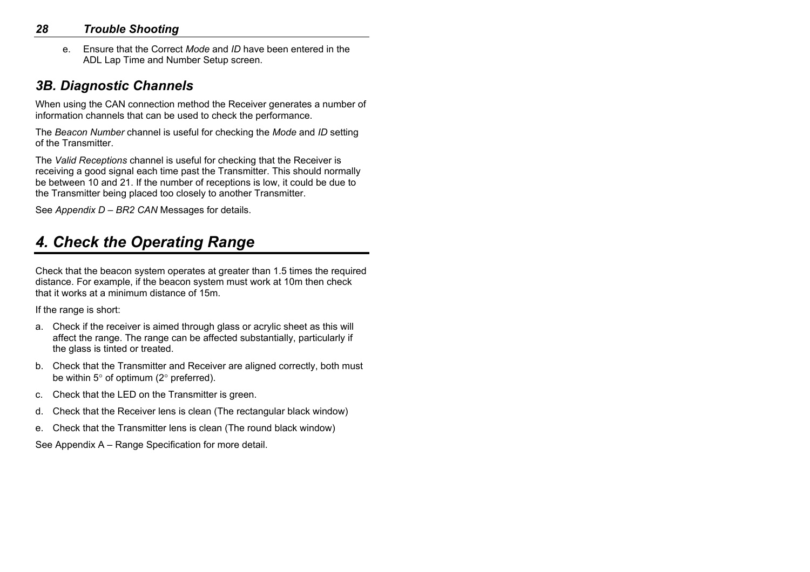### *28 Trouble Shooting*

e. Ensure that the Correct *Mode* and *ID* have been entered in the ADL Lap Time and Number Setup screen.

### *3B. Diagnostic Channels*

When using the CAN connection method the Receiver generates a number of information channels that can be used to check the performance.

The *Beacon Number* channel is useful for checking the *Mode* and *ID* setting of the Transmitter.

The *Valid Receptions* channel is useful for checking that the Receiver is receiving a good signal each time past the Transmitter. This should normally be between 10 and 21. If the number of receptions is low, it could be due to the Transmitter being placed too closely to another Transmitter.

See *Appendix D – BR2 CAN* Messages for details.

## *4. Check the Operating Range*

Check that the beacon system operates at greater than 1.5 times the required distance. For example, if the beacon system must work at 10m then check that it works at a minimum distance of 15m.

If the range is short:

- a. Check if the receiver is aimed through glass or acrylic sheet as this will affect the range. The range can be affected substantially, particularly if the glass is tinted or treated.
- b. Check that the Transmitter and Receiver are aligned correctly, both must be within 5° of optimum (2° preferred).
- c. Check that the LED on the Transmitter is green.
- d. Check that the Receiver lens is clean (The rectangular black window)
- e. Check that the Transmitter lens is clean (The round black window)

See Appendix A – Range Specification for more detail.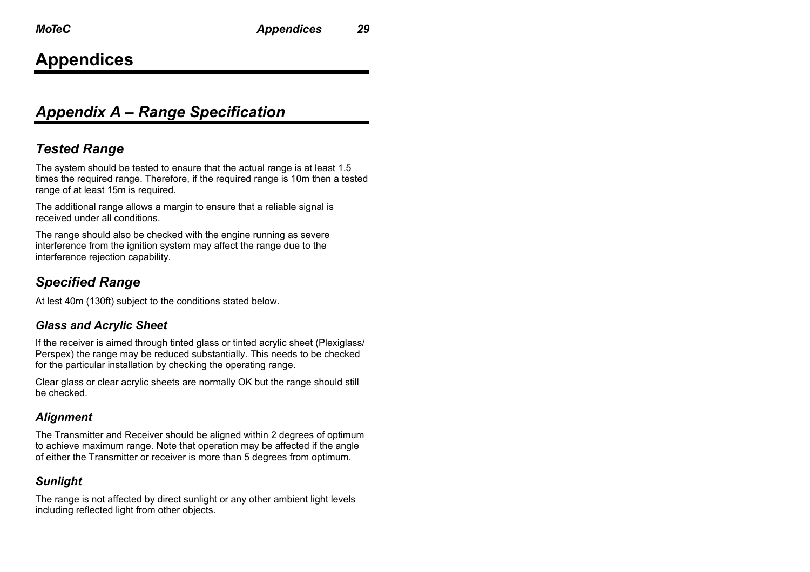## **Appendices**

## *Appendix A – Range Specification*

### *Tested Range*

The system should be tested to ensure that the actual range is at least 1.5 times the required range. Therefore, if the required range is 10m then a tested range of at least 15m is required.

The additional range allows a margin to ensure that a reliable signal is received under all conditions.

The range should also be checked with the engine running as severe interference from the ignition system may affect the range due to the interference rejection capability.

### *Specified Range*

At lest 40m (130ft) subject to the conditions stated below.

#### *Glass and Acrylic Sheet*

If the receiver is aimed through tinted glass or tinted acrylic sheet (Plexiglass/ Perspex) the range may be reduced substantially. This needs to be checked for the particular installation by checking the operating range.

Clear glass or clear acrylic sheets are normally OK but the range should still be checked.

### *Alignment*

The Transmitter and Receiver should be aligned within 2 degrees of optimum to achieve maximum range. Note that operation may be affected if the angle of either the Transmitter or receiver is more than 5 degrees from optimum.

### *Sunlight*

The range is not affected by direct sunlight or any other ambient light levels including reflected light from other objects.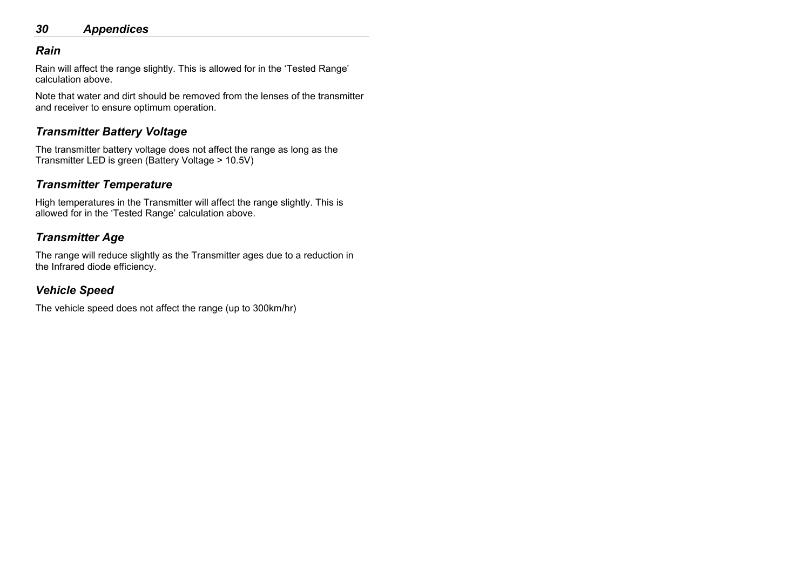### *30 Appendices*

#### *Rain*

Rain will affect the range slightly. This is allowed for in the 'Tested Range' calculation above.

Note that water and dirt should be removed from the lenses of the transmitter and receiver to ensure optimum operation.

### *Transmitter Battery Voltage*

The transmitter battery voltage does not affect the range as long as the Transmitter LED is green (Battery Voltage > 10.5V)

### *Transmitter Temperature*

High temperatures in the Transmitter will affect the range slightly. This is allowed for in the 'Tested Range' calculation above.

### *Transmitter Age*

The range will reduce slightly as the Transmitter ages due to a reduction in the Infrared diode efficiency.

### *Vehicle Speed*

The vehicle speed does not affect the range (up to 300km/hr)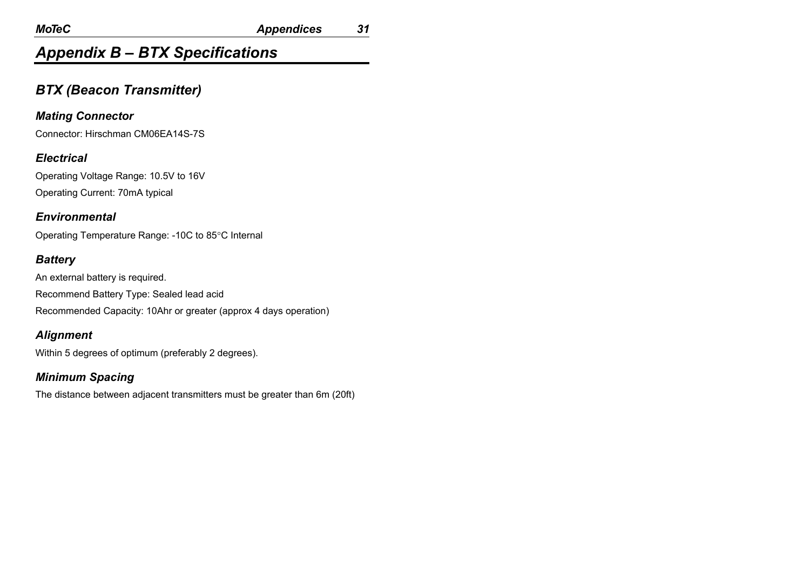## *Appendix B – BTX Specifications*

### *BTX (Beacon Transmitter)*

### *Mating Connector*

Connector: Hirschman CM06EA14S-7S

#### *Electrical*

Operating Voltage Range: 10.5V to 16V Operating Current: 70mA typical

#### *Environmental*

Operating Temperature Range: -10C to 85°C Internal

#### *Battery*

An external battery is required. Recommend Battery Type: Sealed lead acid Recommended Capacity: 10Ahr or greater (approx 4 days operation)

### *Alignment*

Within 5 degrees of optimum (preferably 2 degrees).

### *Minimum Spacing*

The distance between adjacent transmitters must be greater than 6m (20ft)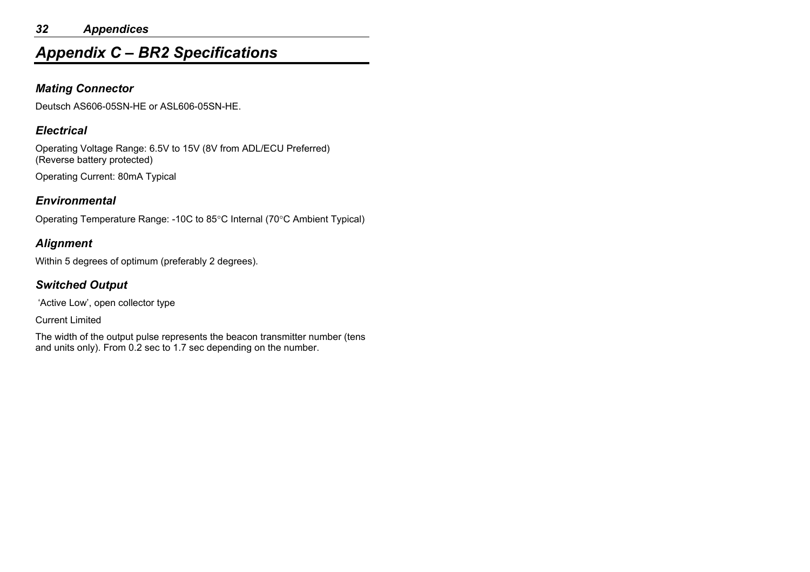#### *32 Appendices*

## *Appendix C – BR2 Specifications*

#### *Mating Connector*

Deutsch AS606-05SN-HE or ASL606-05SN-HE.

#### *Electrical*

Operating Voltage Range: 6.5V to 15V (8V from ADL/ECU Preferred) (Reverse battery protected)

Operating Current: 80mA Typical

#### *Environmental*

Operating Temperature Range: -10C to 85°C Internal (70°C Ambient Typical)

### *Alignment*

Within 5 degrees of optimum (preferably 2 degrees).

### *Switched Output*

'Active Low', open collector type

Current Limited

The width of the output pulse represents the beacon transmitter number (tens and units only). From 0.2 sec to 1.7 sec depending on the number.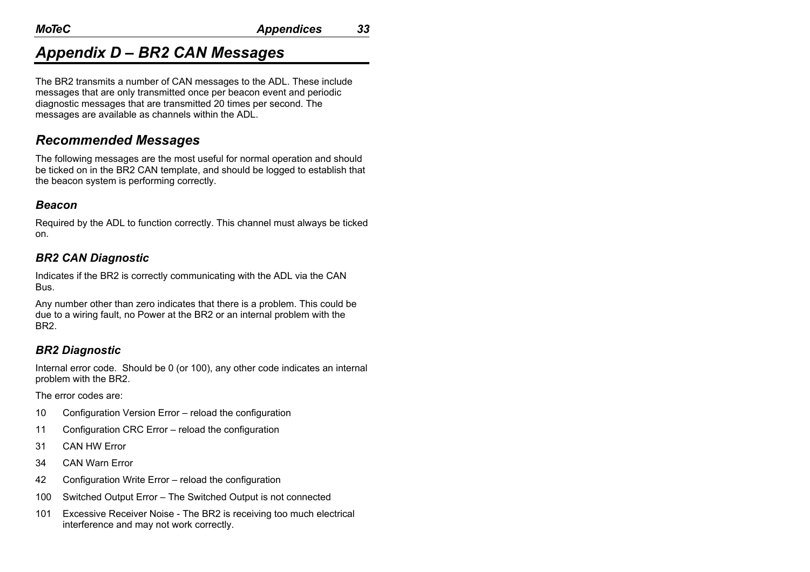## *Appendix D – BR2 CAN Messages*

The BR2 transmits a number of CAN messages to the ADL. These include messages that are only transmitted once per beacon event and periodic diagnostic messages that are transmitted 20 times per second. The messages are available as channels within the ADL.

### *Recommended Messages*

The following messages are the most useful for normal operation and should be ticked on in the BR2 CAN template, and should be logged to establish that the beacon system is performing correctly.

#### *Beacon*

Required by the ADL to function correctly. This channel must always be ticked on.

### *BR2 CAN Diagnostic*

Indicates if the BR2 is correctly communicating with the ADL via the CAN Bus.

Any number other than zero indicates that there is a problem. This could be due to a wiring fault, no Power at the BR2 or an internal problem with the BR2.

### *BR2 Diagnostic*

Internal error code. Should be 0 (or 100), any other code indicates an internal problem with the BR2.

The error codes are:

- 10 Configuration Version Error reload the configuration
- 11 Configuration CRC Error reload the configuration
- 31 CAN HW Error
- 34 CAN Warn Error
- 42 Configuration Write Error reload the configuration
- 100 Switched Output Error The Switched Output is not connected
- 101 Excessive Receiver Noise The BR2 is receiving too much electrical interference and may not work correctly.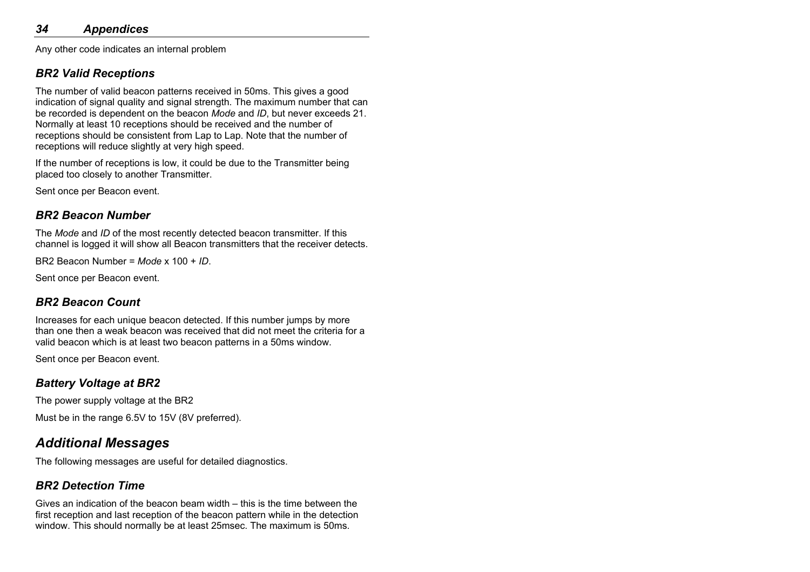Any other code indicates an internal problem

### *BR2 Valid Receptions*

The number of valid beacon patterns received in 50ms. This gives a good indication of signal quality and signal strength. The maximum number that can be recorded is dependent on the beacon *Mode* and *ID*, but never exceeds 21. Normally at least 10 receptions should be received and the number of receptions should be consistent from Lap to Lap. Note that the number of receptions will reduce slightly at very high speed.

If the number of receptions is low, it could be due to the Transmitter being placed too closely to another Transmitter.

Sent once per Beacon event.

### *BR2 Beacon Number*

The *Mode* and *ID* of the most recently detected beacon transmitter. If this channel is logged it will show all Beacon transmitters that the receiver detects.

BR2 Beacon Number = *Mode* x 100 + *ID*.

Sent once per Beacon event.

### *BR2 Beacon Count*

Increases for each unique beacon detected. If this number jumps by more than one then a weak beacon was received that did not meet the criteria for a valid beacon which is at least two beacon patterns in a 50ms window.

Sent once per Beacon event.

### *Battery Voltage at BR2*

The power supply voltage at the BR2

Must be in the range 6.5V to 15V (8V preferred).

### *Additional Messages*

The following messages are useful for detailed diagnostics.

### *BR2 Detection Time*

Gives an indication of the beacon beam width – this is the time between the first reception and last reception of the beacon pattern while in the detection window. This should normally be at least 25msec. The maximum is 50ms.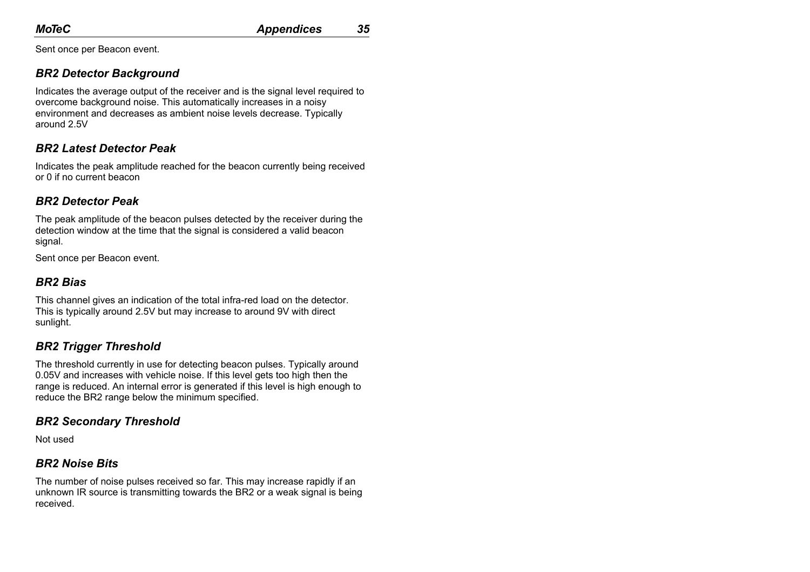Sent once per Beacon event.

### *BR2 Detector Background*

Indicates the average output of the receiver and is the signal level required to overcome background noise. This automatically increases in a noisy environment and decreases as ambient noise levels decrease. Typically around 2.5V

### *BR2 Latest Detector Peak*

Indicates the peak amplitude reached for the beacon currently being received or 0 if no current beacon

### *BR2 Detector Peak*

The peak amplitude of the beacon pulses detected by the receiver during the detection window at the time that the signal is considered a valid beacon signal.

Sent once per Beacon event.

### *BR2 Bias*

This channel gives an indication of the total infra-red load on the detector. This is typically around 2.5V but may increase to around 9V with direct sunlight.

### *BR2 Trigger Threshold*

The threshold currently in use for detecting beacon pulses. Typically around 0.05V and increases with vehicle noise. If this level gets too high then the range is reduced. An internal error is generated if this level is high enough to reduce the BR2 range below the minimum specified.

### *BR2 Secondary Threshold*

Not used

### *BR2 Noise Bits*

The number of noise pulses received so far. This may increase rapidly if an unknown IR source is transmitting towards the BR2 or a weak signal is being received.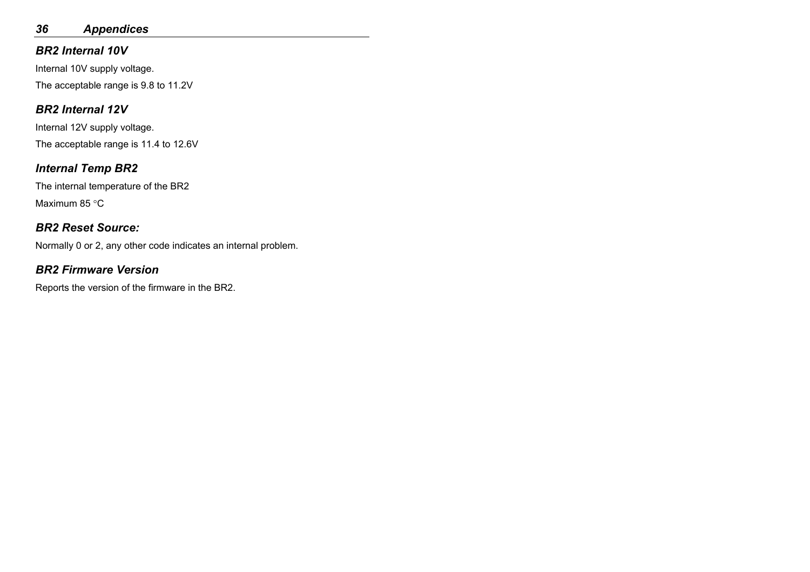### *36 Appendices*

### *BR2 Internal 10V*

Internal 10V supply voltage. The acceptable range is 9.8 to 11.2V

### *BR2 Internal 12V*

Internal 12V supply voltage. The acceptable range is 11.4 to 12.6V

### *Internal Temp BR2*

The internal temperature of the BR2 Maximum 85 °C

### *BR2 Reset Source:*

Normally 0 or 2, any other code indicates an internal problem.

### *BR2 Firmware Version*

Reports the version of the firmware in the BR2.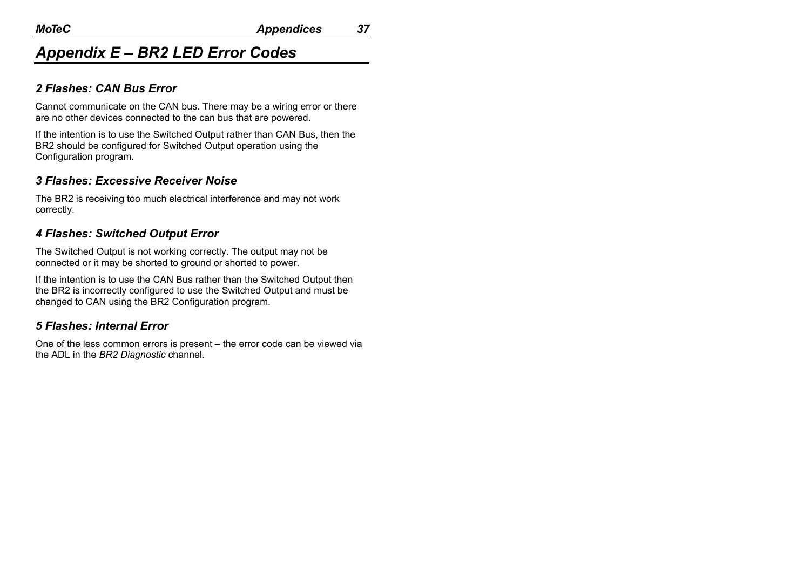## *Appendix E – BR2 LED Error Codes*

#### *2 Flashes: CAN Bus Error*

Cannot communicate on the CAN bus. There may be a wiring error or there are no other devices connected to the can bus that are powered.

If the intention is to use the Switched Output rather than CAN Bus, then the BR2 should be configured for Switched Output operation using the Configuration program.

### *3 Flashes: Excessive Receiver Noise*

The BR2 is receiving too much electrical interference and may not work correctly.

### *4 Flashes: Switched Output Error*

The Switched Output is not working correctly. The output may not be connected or it may be shorted to ground or shorted to power.

If the intention is to use the CAN Bus rather than the Switched Output then the BR2 is incorrectly configured to use the Switched Output and must be changed to CAN using the BR2 Configuration program.

### *5 Flashes: Internal Error*

One of the less common errors is present – the error code can be viewed via the ADL in the *BR2 Diagnostic* channel.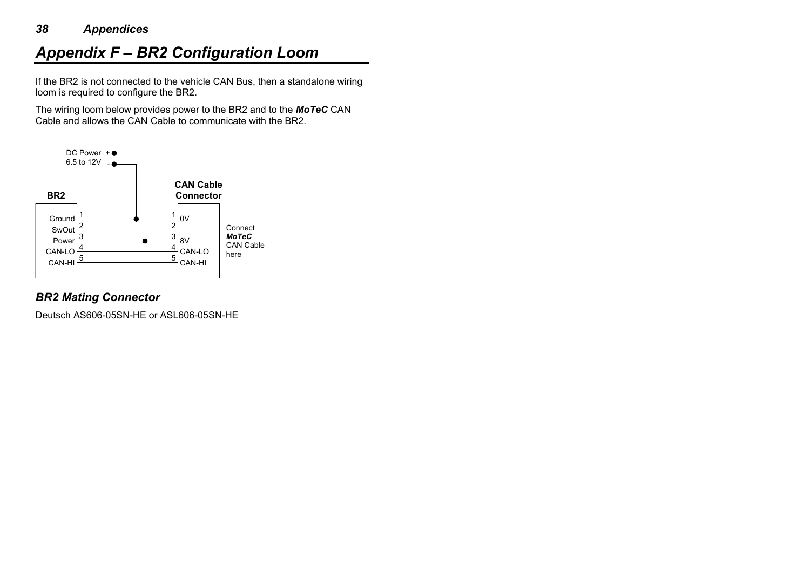## *Appendix F – BR2 Configuration Loom*

If the BR2 is not connected to the vehicle CAN Bus, then a standalone wiring loom is required to configure the BR2.

The wiring loom below provides power to the BR2 and to the *MoTeC* CAN Cable and allows the CAN Cable to communicate with the BR2.



### *BR2 Mating Connector*

Deutsch AS606-05SN-HE or ASL606-05SN-HE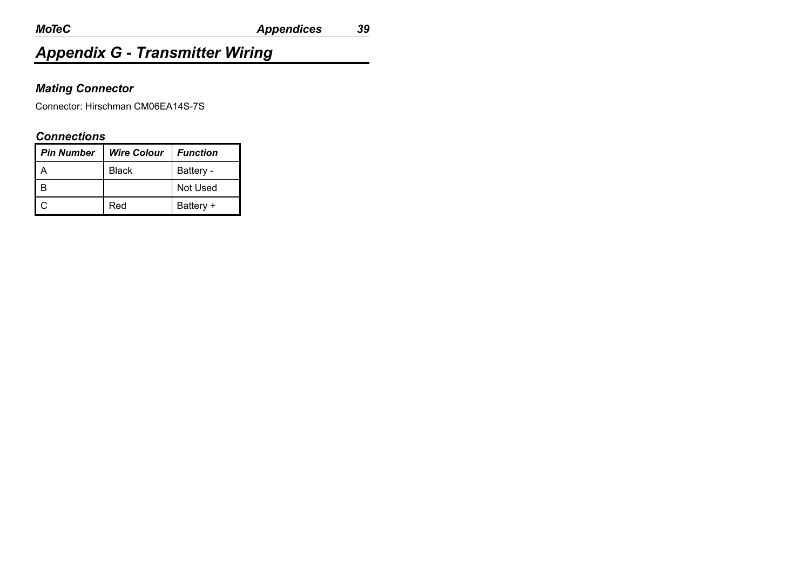## *Appendix G - Transmitter Wiring*

### *Mating Connector*

Connector: Hirschman CM06EA14S-7S

#### *Connections*

| <b>Pin Number</b> | <b>Wire Colour</b> | <b>Function</b> |
|-------------------|--------------------|-----------------|
|                   | Black              | Battery -       |
|                   |                    | Not Used        |
|                   | Red                | Battery +       |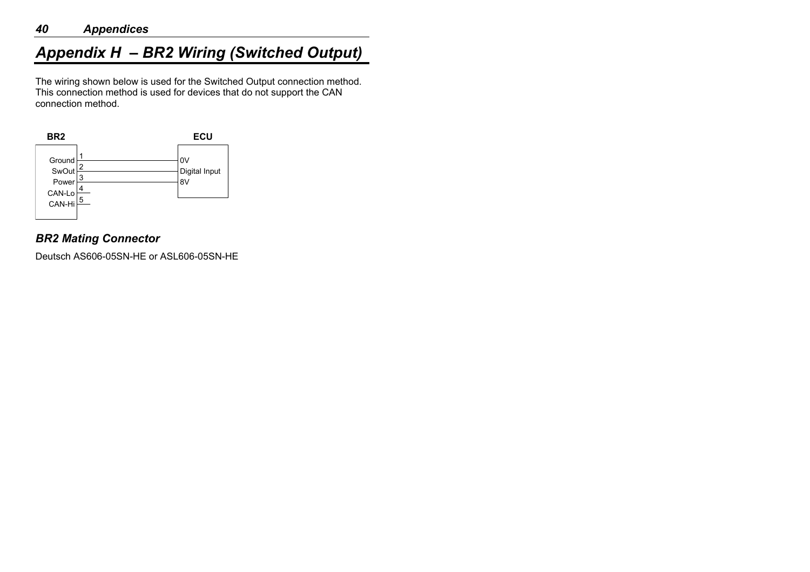#### *40 Appendices*

## *Appendix H – BR2 Wiring (Switched Output)*

The wiring shown below is used for the Switched Output connection method. This connection method is used for devices that do not support the CAN connection method.



### *BR2 Mating Connector*

Deutsch AS606-05SN-HE or ASL606-05SN-HE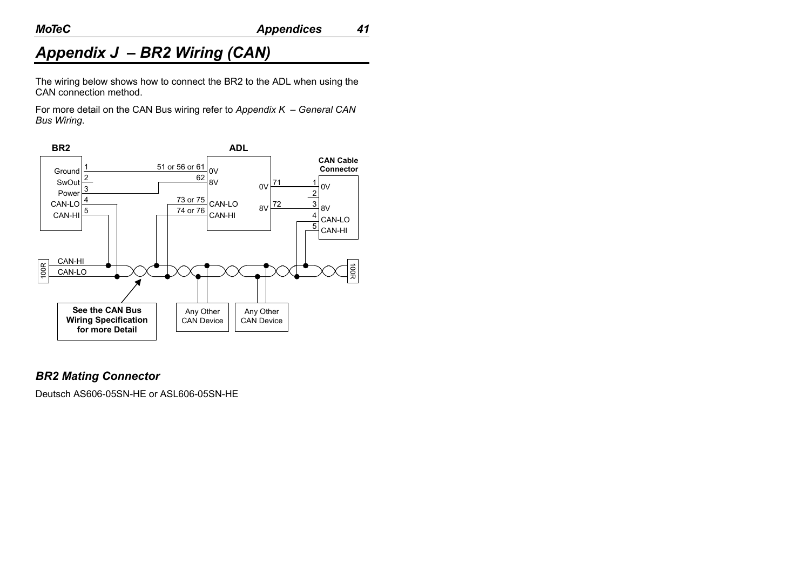## *Appendix J – BR2 Wiring (CAN)*

The wiring below shows how to connect the BR2 to the ADL when using the CAN connection method.

For more detail on the CAN Bus wiring refer to *Appendix K – General CAN Bus Wiring*.



#### *BR2 Mating Connector*

Deutsch AS606-05SN-HE or ASL606-05SN-HE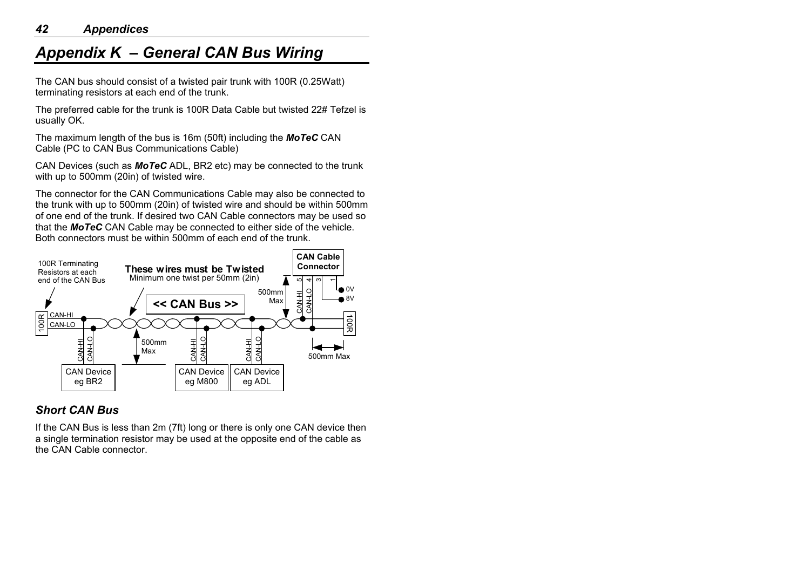## *Appendix K – General CAN Bus Wiring*

The CAN bus should consist of a twisted pair trunk with 100R (0.25Watt) terminating resistors at each end of the trunk.

The preferred cable for the trunk is 100R Data Cable but twisted 22# Tefzel is usually OK.

The maximum length of the bus is 16m (50ft) including the *MoTeC* CAN Cable (PC to CAN Bus Communications Cable)

CAN Devices (such as *MoTeC* ADL, BR2 etc) may be connected to the trunk with up to 500mm (20in) of twisted wire.

The connector for the CAN Communications Cable may also be connected to the trunk with up to 500mm (20in) of twisted wire and should be within 500mm of one end of the trunk. If desired two CAN Cable connectors may be used so that the *MoTeC* CAN Cable may be connected to either side of the vehicle. Both connectors must be within 500mm of each end of the trunk.



### *Short CAN Bus*

If the CAN Bus is less than 2m (7ft) long or there is only one CAN device then a single termination resistor may be used at the opposite end of the cable as the CAN Cable connector.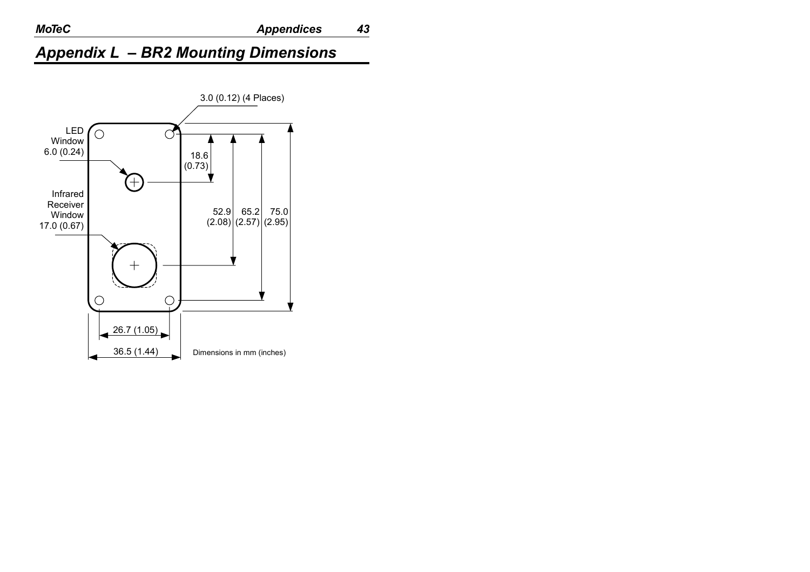## *Appendix L – BR2 Mounting Dimensions*